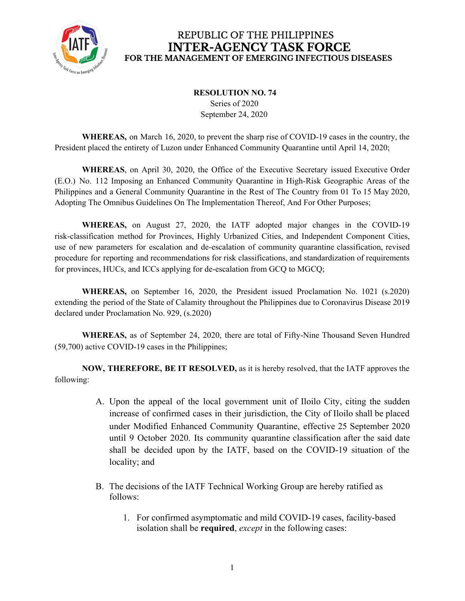

## REPUBLIC OF THE PHILIPPINES **INTER-AGENCY TASK FORCE** FOR THE MANAGEMENT OF EMERGING INFECTIOUS DISEASES

#### **RESOLUTION NO. 74** Series of 2020 September 24, 2020

**WHEREAS,** on March 16, 2020, to prevent the sharp rise of COVID-19 cases in the country, the President placed the entirety of Luzon under Enhanced Community Quarantine until April 14, 2020;

**WHEREAS**, on April 30, 2020, the Office of the Executive Secretary issued Executive Order (E.O.) No. 112 Imposing an Enhanced Community Quarantine in High-Risk Geographic Areas of the Philippines and a General Community Quarantine in the Rest of The Country from 01 To 15 May 2020, Adopting The Omnibus Guidelines On The Implementation Thereof, And For Other Purposes;

**WHEREAS,** on August 27, 2020, the IATF adopted major changes in the COVID-19 risk-classification method for Provinces, Highly Urbanized Cities, and Independent Component Cities, use of new parameters for escalation and de-escalation of community quarantine classification, revised procedure for reporting and recommendations for risk classifications, and standardization of requirements for provinces, HUCs, and ICCs applying for de-escalation from GCQ to MGCQ;

**WHEREAS,** on September 16, 2020, the President issued Proclamation No. 1021 (s.2020) extending the period of the State of Calamity throughout the Philippines due to Coronavirus Disease 2019 declared under Proclamation No. 929, (s.2020)

**WHEREAS,** as of September 24, 2020, there are total of Fifty-Nine Thousand Seven Hundred (59,700) active COVID-19 cases in the Philippines;

**NOW, THEREFORE, BE IT RESOLVED,** as it is hereby resolved, that the IATF approves the following:

- A. Upon the appeal of the local government unit of Iloilo City, citing the sudden increase of confirmed cases in their jurisdiction, the City of Iloilo shall be placed under Modified Enhanced Community Quarantine, effective 25 September 2020 until 9 October 2020. Its community quarantine classification after the said date shall be decided upon by the IATF, based on the COVID-19 situation of the locality; and
- B. The decisions of the IATF Technical Working Group are hereby ratified as follows:
	- 1. For confirmed asymptomatic and mild COVID-19 cases, facility-based isolation shall be **required**, *except* in the following cases: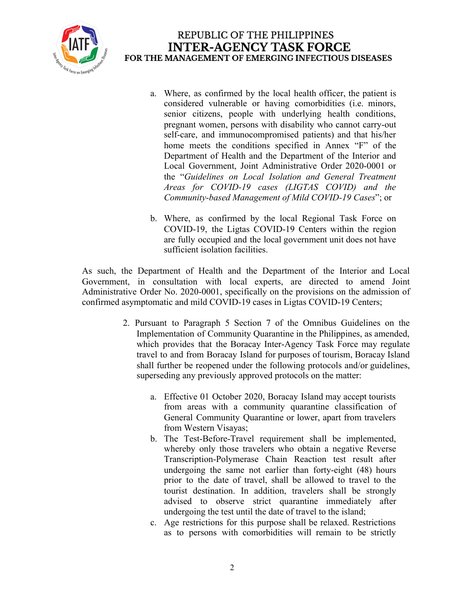

- a. Where, as confirmed by the local health officer, the patient is considered vulnerable or having comorbidities (i.e. minors, senior citizens, people with underlying health conditions, pregnant women, persons with disability who cannot carry-out self-care, and immunocompromised patients) and that his/her home meets the conditions specified in Annex "F" of the Department of Health and the Department of the Interior and Local Government, Joint Administrative Order 2020-0001 or the "*Guidelines on Local Isolation and General Treatment Areas for COVID-19 cases (LIGTAS COVID) and the Community-based Management of Mild COVID-19 Cases*"; or
- b. Where, as confirmed by the local Regional Task Force on COVID-19, the Ligtas COVID-19 Centers within the region are fully occupied and the local government unit does not have sufficient isolation facilities.

As such, the Department of Health and the Department of the Interior and Local Government, in consultation with local experts, are directed to amend Joint Administrative Order No. 2020-0001, specifically on the provisions on the admission of confirmed asymptomatic and mild COVID-19 cases in Ligtas COVID-19 Centers;

- 2. Pursuant to Paragraph 5 Section 7 of the Omnibus Guidelines on the Implementation of Community Quarantine in the Philippines, as amended, which provides that the Boracay Inter-Agency Task Force may regulate travel to and from Boracay Island for purposes of tourism, Boracay Island shall further be reopened under the following protocols and/or guidelines, superseding any previously approved protocols on the matter:
	- a. Effective 01 October 2020, Boracay Island may accept tourists from areas with a community quarantine classification of General Community Quarantine or lower, apart from travelers from Western Visayas;
	- b. The Test-Before-Travel requirement shall be implemented, whereby only those travelers who obtain a negative Reverse Transcription-Polymerase Chain Reaction test result after undergoing the same not earlier than forty-eight (48) hours prior to the date of travel, shall be allowed to travel to the tourist destination. In addition, travelers shall be strongly advised to observe strict quarantine immediately after undergoing the test until the date of travel to the island;
	- c. Age restrictions for this purpose shall be relaxed. Restrictions as to persons with comorbidities will remain to be strictly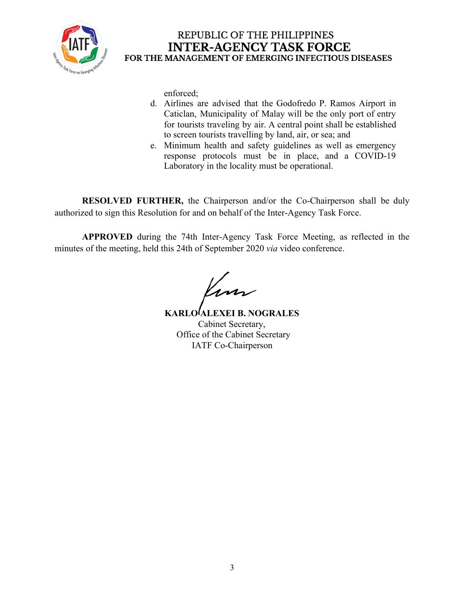

## REPUBLIC OF THE PHILIPPINES **INTER-AGENCY TASK FORCE** FOR THE MANAGEMENT OF EMERGING INFECTIOUS DISEASES

enforced;

- d. Airlines are advised that the Godofredo P. Ramos Airport in Caticlan, Municipality of Malay will be the only port of entry for tourists traveling by air. A central point shall be established to screen tourists travelling by land, air, or sea; and
- e. Minimum health and safety guidelines as well as emergency response protocols must be in place, and a COVID-19 Laboratory in the locality must be operational.

**RESOLVED FURTHER,** the Chairperson and/or the Co-Chairperson shall be duly authorized to sign this Resolution for and on behalf of the Inter-Agency Task Force.

**APPROVED** during the 74th Inter-Agency Task Force Meeting, as reflected in the minutes of the meeting, held this 24th of September 2020 *via* video conference.

**KARLO ALEXEI B. NOGRALES** Cabinet Secretary, Office of the Cabinet Secretary IATF Co-Chairperson